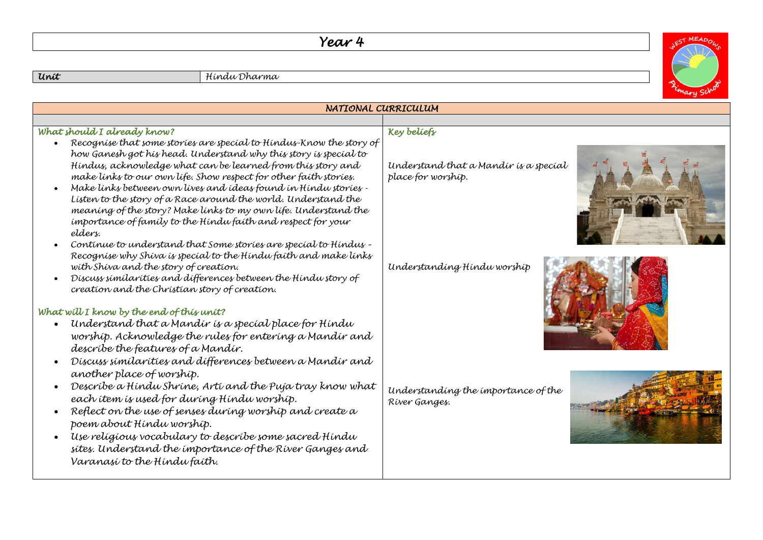## *Year 4*

*Unit Hindu Dharma*

| NATIONAL CURRICULUM                                                                                                                                                                                                                                                                               |                                                             |  |
|---------------------------------------------------------------------------------------------------------------------------------------------------------------------------------------------------------------------------------------------------------------------------------------------------|-------------------------------------------------------------|--|
|                                                                                                                                                                                                                                                                                                   |                                                             |  |
| What should I already know?<br>Recognise that some stories are special to Hindus-Know the story of                                                                                                                                                                                                | <b>Key beliefs</b>                                          |  |
| how Ganesh got his head. Understand why this story is special to<br>Hindus, acknowledge what can be learned from this story and<br>make links to our own life. Show respect for other faith stories.                                                                                              | Understand that a Mandír ís a specíal<br>place for worship. |  |
| Make links between own lives and ideas found in Hindu stories -<br>Listen to the story of a Race around the world. Understand the<br>meaning of the story? Make links to my own life. Understand the<br>importance of family to the Hindu faith and respect for your<br>elders.                   |                                                             |  |
| Continue to understand that Some stories are special to Hindus -<br>Recognise why Shiva is special to the Hindu faith and make links<br>with Shiva and the story of creation.<br>Discuss similarities and differences between the Hindu story of<br>creation and the Christian story of creation. | Understanding Hindu worship                                 |  |
| What will I know by the end of this unit?                                                                                                                                                                                                                                                         |                                                             |  |
| Understand that a Mandír ís a specíal place for Híndu<br>worship. Acknowledge the rules for entering a Mandir and<br>describe the features of a Mandir.                                                                                                                                           |                                                             |  |
| Discuss similarities and differences between a Mandir and<br>another place of worship.                                                                                                                                                                                                            |                                                             |  |
| Describe a Hindu Shrine, Arti and the Puja tray know what<br>each ítem ís used for during Hindu worship.<br>Reflect on the use of senses during worship and create a                                                                                                                              | Understanding the importance of the<br>River Ganges.        |  |
| poem about Hindu worship.                                                                                                                                                                                                                                                                         |                                                             |  |
| Use religious vocabulary to describe some sacred Hindu<br>sites. Understand the importance of the River Ganges and<br>Varanasí to the Híndu faíth.                                                                                                                                                |                                                             |  |
|                                                                                                                                                                                                                                                                                                   |                                                             |  |